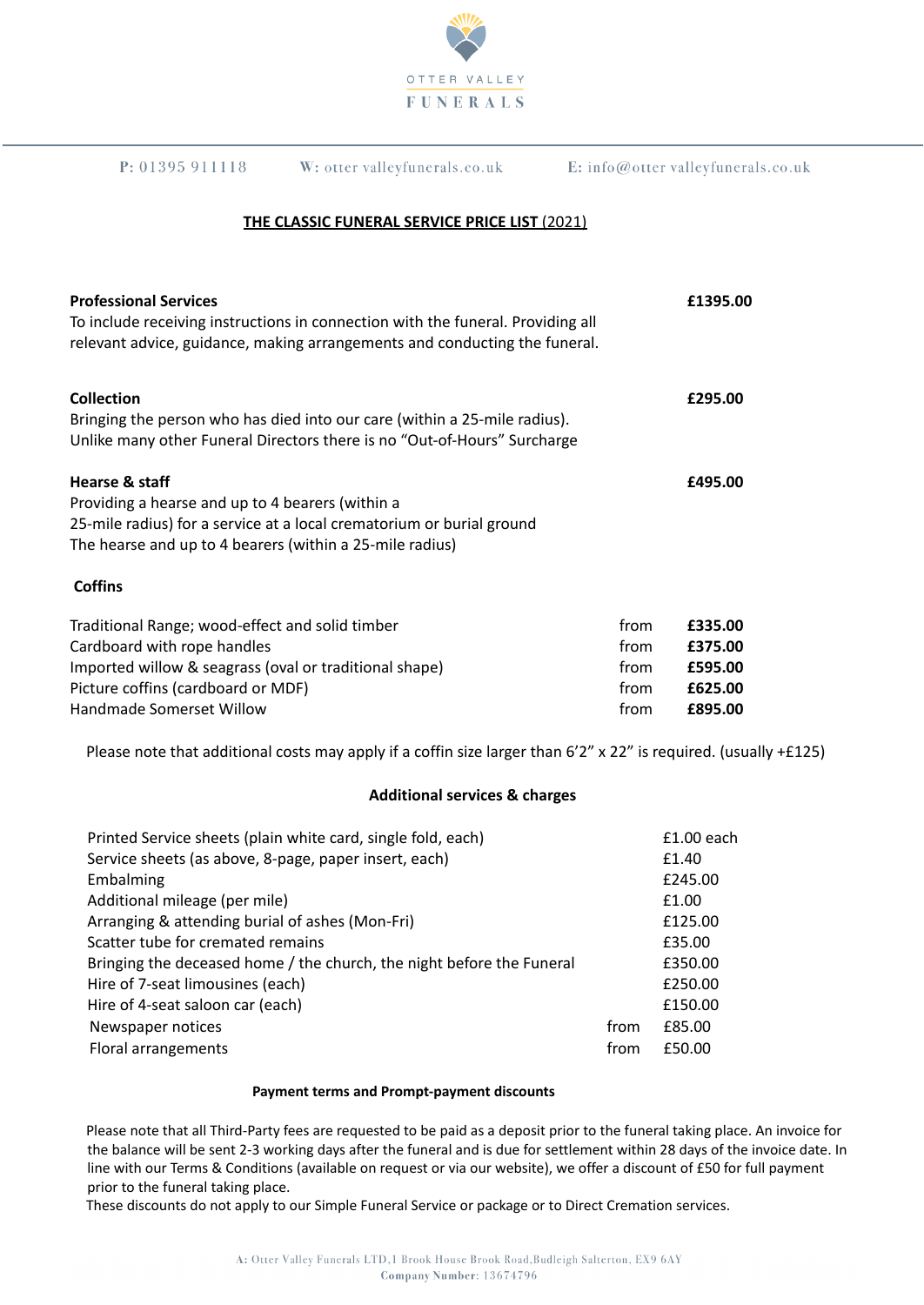

| P: 01395911118                                | W: otter valleyfunerals.co.uk                                                   | $E:$ info@otter valleyfunerals.co.uk |  |
|-----------------------------------------------|---------------------------------------------------------------------------------|--------------------------------------|--|
| THE CLASSIC FUNERAL SERVICE PRICE LIST (2021) |                                                                                 |                                      |  |
| <b>Professional Services</b>                  | To include receiving instructions in connection with the funeral. Providing all | £1395.00                             |  |

| <b>Collection</b>                                                         | £295.00 |
|---------------------------------------------------------------------------|---------|
| Bringing the person who has died into our care (within a 25-mile radius). |         |
| Unlike many other Funeral Directors there is no "Out-of-Hours" Surcharge  |         |
| Hearse & staff                                                            | £495.00 |
| Providing a hearse and up to 4 bearers (within a                          |         |
| 25-mile radius) for a service at a local crematorium or burial ground     |         |
| The hearse and up to 4 bearers (within a 25-mile radius)                  |         |

relevant advice, guidance, making arrangements and conducting the funeral.

## **Coffins**

| Traditional Range; wood-effect and solid timber        | trom | £335.00 |
|--------------------------------------------------------|------|---------|
| Cardboard with rope handles                            | trom | £375.00 |
| Imported willow & seagrass (oval or traditional shape) | trom | £595.00 |
| Picture coffins (cardboard or MDF)                     | trom | £625.00 |
| Handmade Somerset Willow                               | trom | £895.00 |

Please note that additional costs may apply if a coffin size larger than 6'2" x 22" is required. (usually +£125)

### **Additional services & charges**

| Printed Service sheets (plain white card, single fold, each)          |      | $£1.00$ each |
|-----------------------------------------------------------------------|------|--------------|
| Service sheets (as above, 8-page, paper insert, each)                 |      | £1.40        |
| Embalming                                                             |      | £245.00      |
| Additional mileage (per mile)                                         |      | £1.00        |
| Arranging & attending burial of ashes (Mon-Fri)                       |      | £125.00      |
| Scatter tube for cremated remains                                     |      | £35.00       |
| Bringing the deceased home / the church, the night before the Funeral |      | £350.00      |
| Hire of 7-seat limousines (each)                                      |      | £250.00      |
| Hire of 4-seat saloon car (each)                                      |      | £150.00      |
| Newspaper notices                                                     | from | £85.00       |
| Floral arrangements                                                   | from | £50.00       |

#### **Payment terms and Prompt-payment discounts**

Please note that all Third-Party fees are requested to be paid as a deposit prior to the funeral taking place. An invoice for the balance will be sent 2-3 working days after the funeral and is due for settlement within 28 days of the invoice date. In line with our Terms & Conditions (available on request or via our website), we offer a discount of £50 for full payment prior to the funeral taking place.

These discounts do not apply to our Simple Funeral Service or package or to Direct Cremation services.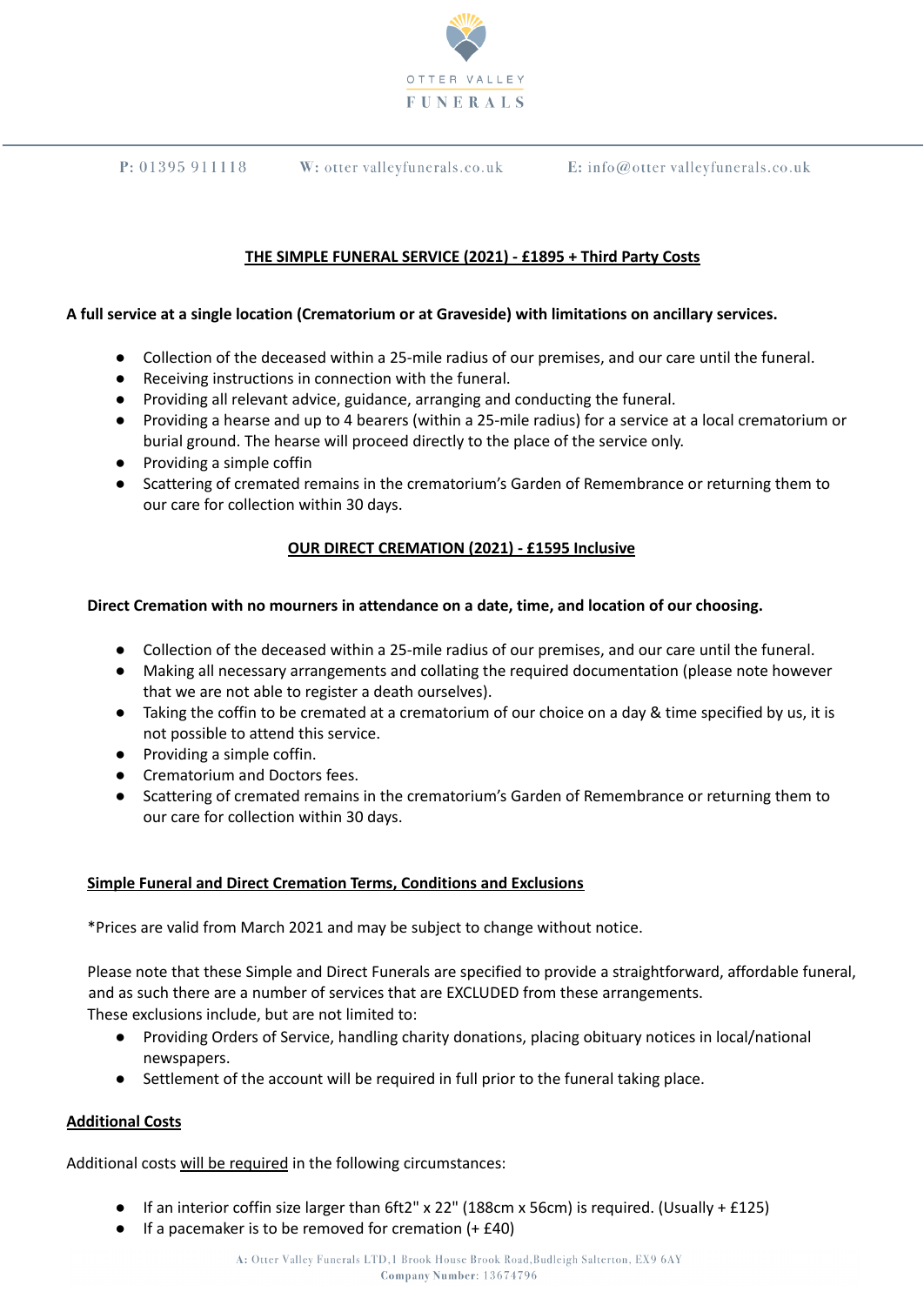

E: info@otter valleyfunerals.co.uk

# **THE SIMPLE FUNERAL SERVICE (2021) - £1895 + Third Party Costs**

### **A full service at a single location (Crematorium or at Graveside) with limitations on ancillary services.**

W: otter valleyfunerals.co.uk

- Collection of the deceased within a 25-mile radius of our premises, and our care until the funeral.
- Receiving instructions in connection with the funeral.
- Providing all relevant advice, guidance, arranging and conducting the funeral.
- Providing a hearse and up to 4 bearers (within a 25-mile radius) for a service at a local crematorium or burial ground. The hearse will proceed directly to the place of the service only.
- Providing a simple coffin

 $P: 01395911118$ 

● Scattering of cremated remains in the crematorium's Garden of Remembrance or returning them to our care for collection within 30 days.

### **OUR DIRECT CREMATION (2021) - £1595 Inclusive**

### **Direct Cremation with no mourners in attendance on a date, time, and location of our choosing.**

- Collection of the deceased within a 25-mile radius of our premises, and our care until the funeral.
- Making all necessary arrangements and collating the required documentation (please note however that we are not able to register a death ourselves).
- Taking the coffin to be cremated at a crematorium of our choice on a day & time specified by us, it is not possible to attend this service.
- Providing a simple coffin.
- Crematorium and Doctors fees.
- Scattering of cremated remains in the crematorium's Garden of Remembrance or returning them to our care for collection within 30 days.

### **Simple Funeral and Direct Cremation Terms, Conditions and Exclusions**

\*Prices are valid from March 2021 and may be subject to change without notice.

Please note that these Simple and Direct Funerals are specified to provide a straightforward, affordable funeral, and as such there are a number of services that are EXCLUDED from these arrangements. These exclusions include, but are not limited to:

- Providing Orders of Service, handling charity donations, placing obituary notices in local/national newspapers.
- Settlement of the account will be required in full prior to the funeral taking place.

### **Additional Costs**

Additional costs will be required in the following circumstances:

- **•** If an interior coffin size larger than  $6f12'' \times 22''$  (188cm x 56cm) is required. (Usually + £125)
- If a pacemaker is to be removed for cremation (+ £40)